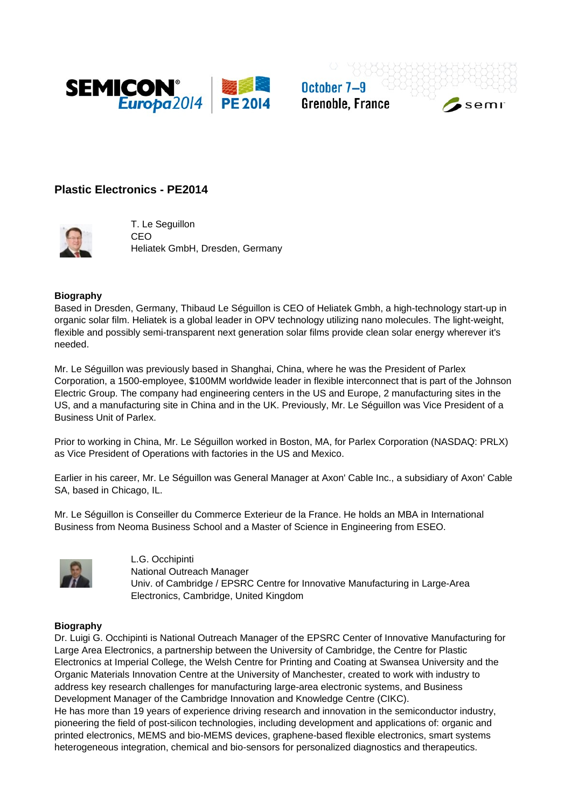

October 7-9 **Grenoble, France** 

 $sec$ 

# **Plastic Electronics - PE2014**



T. Le Seguillon CEO Heliatek GmbH, Dresden, Germany

### **Biography**

Based in Dresden, Germany, Thibaud Le Séguillon is CEO of Heliatek Gmbh, a high-technology start-up in organic solar film. Heliatek is a global leader in OPV technology utilizing nano molecules. The light-weight, flexible and possibly semi-transparent next generation solar films provide clean solar energy wherever it's needed.

Mr. Le Séguillon was previously based in Shanghai, China, where he was the President of Parlex Corporation, a 1500-employee, \$100MM worldwide leader in flexible interconnect that is part of the Johnson Electric Group. The company had engineering centers in the US and Europe, 2 manufacturing sites in the US, and a manufacturing site in China and in the UK. Previously, Mr. Le Séguillon was Vice President of a Business Unit of Parlex.

Prior to working in China, Mr. Le Séguillon worked in Boston, MA, for Parlex Corporation (NASDAQ: PRLX) as Vice President of Operations with factories in the US and Mexico.

Earlier in his career, Mr. Le Séguillon was General Manager at Axon' Cable Inc., a subsidiary of Axon' Cable SA, based in Chicago, IL.

Mr. Le Séguillon is Conseiller du Commerce Exterieur de la France. He holds an MBA in International Business from Neoma Business School and a Master of Science in Engineering from ESEO.



L.G. Occhipinti National Outreach Manager Univ. of Cambridge / EPSRC Centre for Innovative Manufacturing in Large-Area Electronics, Cambridge, United Kingdom

### **Biography**

Dr. Luigi G. Occhipinti is National Outreach Manager of the EPSRC Center of Innovative Manufacturing for Large Area Electronics, a partnership between the University of Cambridge, the Centre for Plastic Electronics at Imperial College, the Welsh Centre for Printing and Coating at Swansea University and the Organic Materials Innovation Centre at the University of Manchester, created to work with industry to address key research challenges for manufacturing large-area electronic systems, and Business Development Manager of the Cambridge Innovation and Knowledge Centre (CIKC).

He has more than 19 years of experience driving research and innovation in the semiconductor industry, pioneering the field of post-silicon technologies, including development and applications of: organic and printed electronics, MEMS and bio-MEMS devices, graphene-based flexible electronics, smart systems heterogeneous integration, chemical and bio-sensors for personalized diagnostics and therapeutics.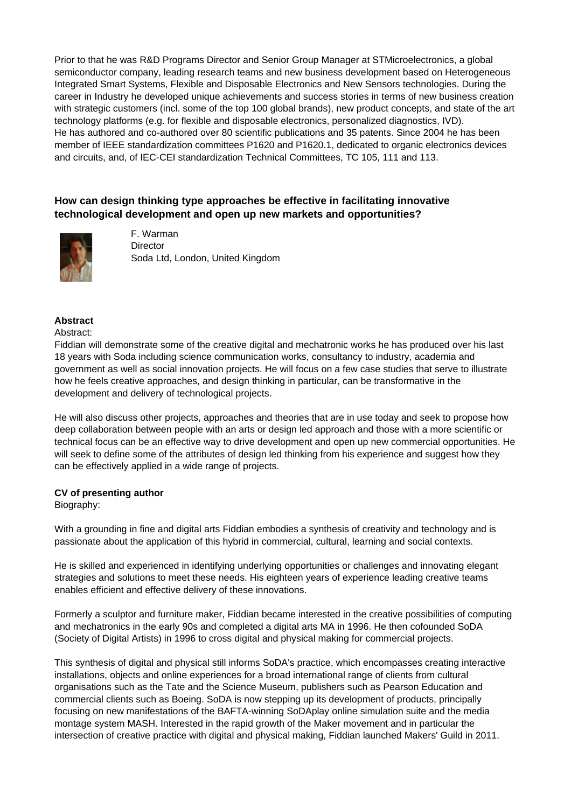Prior to that he was R&D Programs Director and Senior Group Manager at STMicroelectronics, a global semiconductor company, leading research teams and new business development based on Heterogeneous Integrated Smart Systems, Flexible and Disposable Electronics and New Sensors technologies. During the career in Industry he developed unique achievements and success stories in terms of new business creation with strategic customers (incl. some of the top 100 global brands), new product concepts, and state of the art technology platforms (e.g. for flexible and disposable electronics, personalized diagnostics, IVD). He has authored and co-authored over 80 scientific publications and 35 patents. Since 2004 he has been member of IEEE standardization committees P1620 and P1620.1, dedicated to organic electronics devices and circuits, and, of IEC-CEI standardization Technical Committees, TC 105, 111 and 113.

# **How can design thinking type approaches be effective in facilitating innovative technological development and open up new markets and opportunities?**



F. Warman **Director** Soda Ltd, London, United Kingdom

## **Abstract**

### Abstract:

Fiddian will demonstrate some of the creative digital and mechatronic works he has produced over his last 18 years with Soda including science communication works, consultancy to industry, academia and government as well as social innovation projects. He will focus on a few case studies that serve to illustrate how he feels creative approaches, and design thinking in particular, can be transformative in the development and delivery of technological projects.

He will also discuss other projects, approaches and theories that are in use today and seek to propose how deep collaboration between people with an arts or design led approach and those with a more scientific or technical focus can be an effective way to drive development and open up new commercial opportunities. He will seek to define some of the attributes of design led thinking from his experience and suggest how they can be effectively applied in a wide range of projects.

## **CV of presenting author**

## Biography:

With a grounding in fine and digital arts Fiddian embodies a synthesis of creativity and technology and is passionate about the application of this hybrid in commercial, cultural, learning and social contexts.

He is skilled and experienced in identifying underlying opportunities or challenges and innovating elegant strategies and solutions to meet these needs. His eighteen years of experience leading creative teams enables efficient and effective delivery of these innovations.

Formerly a sculptor and furniture maker, Fiddian became interested in the creative possibilities of computing and mechatronics in the early 90s and completed a digital arts MA in 1996. He then cofounded SoDA (Society of Digital Artists) in 1996 to cross digital and physical making for commercial projects.

This synthesis of digital and physical still informs SoDA's practice, which encompasses creating interactive installations, objects and online experiences for a broad international range of clients from cultural organisations such as the Tate and the Science Museum, publishers such as Pearson Education and commercial clients such as Boeing. SoDA is now stepping up its development of products, principally focusing on new manifestations of the BAFTA-winning SoDAplay online simulation suite and the media montage system MASH. Interested in the rapid growth of the Maker movement and in particular the intersection of creative practice with digital and physical making, Fiddian launched Makers' Guild in 2011.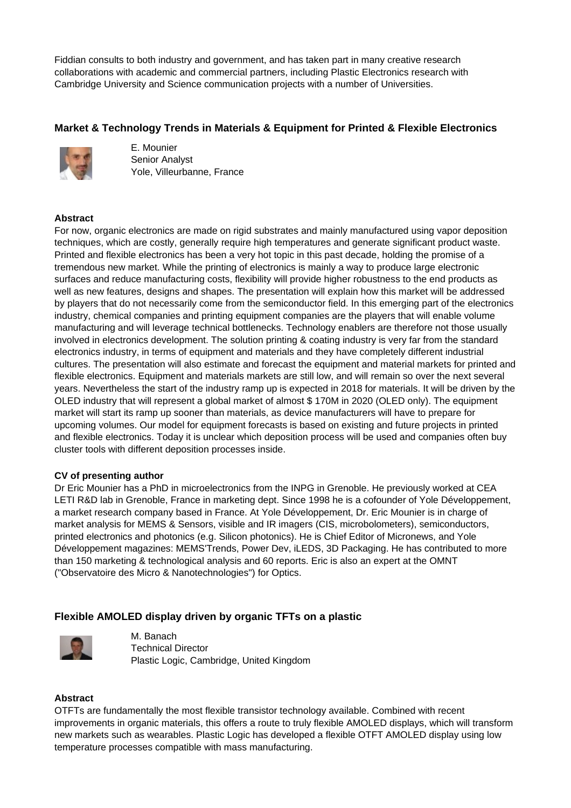Fiddian consults to both industry and government, and has taken part in many creative research collaborations with academic and commercial partners, including Plastic Electronics research with Cambridge University and Science communication projects with a number of Universities.

# **Market & Technology Trends in Materials & Equipment for Printed & Flexible Electronics**



E. Mounier Senior Analyst Yole, Villeurbanne, France

## **Abstract**

For now, organic electronics are made on rigid substrates and mainly manufactured using vapor deposition techniques, which are costly, generally require high temperatures and generate significant product waste. Printed and flexible electronics has been a very hot topic in this past decade, holding the promise of a tremendous new market. While the printing of electronics is mainly a way to produce large electronic surfaces and reduce manufacturing costs, flexibility will provide higher robustness to the end products as well as new features, designs and shapes. The presentation will explain how this market will be addressed by players that do not necessarily come from the semiconductor field. In this emerging part of the electronics industry, chemical companies and printing equipment companies are the players that will enable volume manufacturing and will leverage technical bottlenecks. Technology enablers are therefore not those usually involved in electronics development. The solution printing & coating industry is very far from the standard electronics industry, in terms of equipment and materials and they have completely different industrial cultures. The presentation will also estimate and forecast the equipment and material markets for printed and flexible electronics. Equipment and materials markets are still low, and will remain so over the next several years. Nevertheless the start of the industry ramp up is expected in 2018 for materials. It will be driven by the OLED industry that will represent a global market of almost \$ 170M in 2020 (OLED only). The equipment market will start its ramp up sooner than materials, as device manufacturers will have to prepare for upcoming volumes. Our model for equipment forecasts is based on existing and future projects in printed and flexible electronics. Today it is unclear which deposition process will be used and companies often buy cluster tools with different deposition processes inside.

## **CV of presenting author**

Dr Eric Mounier has a PhD in microelectronics from the INPG in Grenoble. He previously worked at CEA LETI R&D lab in Grenoble, France in marketing dept. Since 1998 he is a cofounder of Yole Développement, a market research company based in France. At Yole Développement, Dr. Eric Mounier is in charge of market analysis for MEMS & Sensors, visible and IR imagers (CIS, microbolometers), semiconductors, printed electronics and photonics (e.g. Silicon photonics). He is Chief Editor of Micronews, and Yole Développement magazines: MEMS'Trends, Power Dev, iLEDS, 3D Packaging. He has contributed to more than 150 marketing & technological analysis and 60 reports. Eric is also an expert at the OMNT ("Observatoire des Micro & Nanotechnologies") for Optics.

# **Flexible AMOLED display driven by organic TFTs on a plastic**



M. Banach Technical Director Plastic Logic, Cambridge, United Kingdom

#### **Abstract**

OTFTs are fundamentally the most flexible transistor technology available. Combined with recent improvements in organic materials, this offers a route to truly flexible AMOLED displays, which will transform new markets such as wearables. Plastic Logic has developed a flexible OTFT AMOLED display using low temperature processes compatible with mass manufacturing.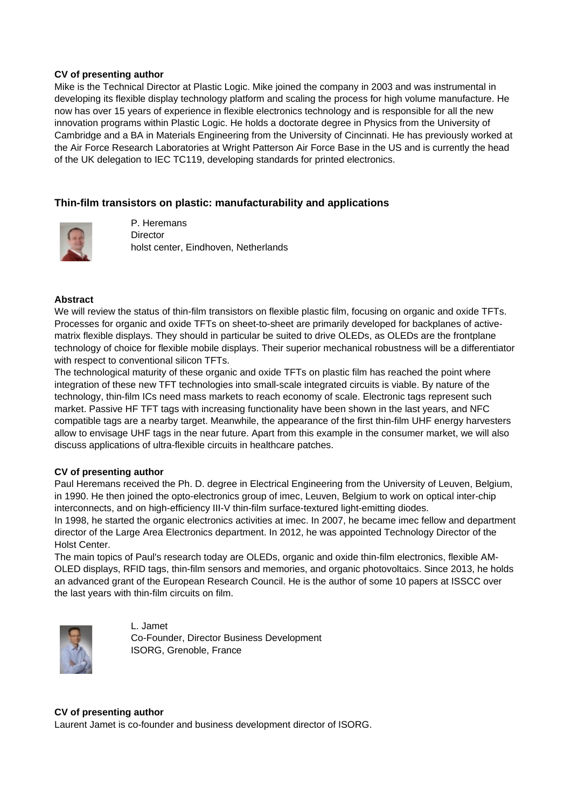### **CV of presenting author**

Mike is the Technical Director at Plastic Logic. Mike joined the company in 2003 and was instrumental in developing its flexible display technology platform and scaling the process for high volume manufacture. He now has over 15 years of experience in flexible electronics technology and is responsible for all the new innovation programs within Plastic Logic. He holds a doctorate degree in Physics from the University of Cambridge and a BA in Materials Engineering from the University of Cincinnati. He has previously worked at the Air Force Research Laboratories at Wright Patterson Air Force Base in the US and is currently the head of the UK delegation to IEC TC119, developing standards for printed electronics.

## **Thin-film transistors on plastic: manufacturability and applications**



P. Heremans **Director** holst center, Eindhoven, Netherlands

## **Abstract**

We will review the status of thin-film transistors on flexible plastic film, focusing on organic and oxide TFTs. Processes for organic and oxide TFTs on sheet-to-sheet are primarily developed for backplanes of activematrix flexible displays. They should in particular be suited to drive OLEDs, as OLEDs are the frontplane technology of choice for flexible mobile displays. Their superior mechanical robustness will be a differentiator with respect to conventional silicon TFTs.

The technological maturity of these organic and oxide TFTs on plastic film has reached the point where integration of these new TFT technologies into small-scale integrated circuits is viable. By nature of the technology, thin-film ICs need mass markets to reach economy of scale. Electronic tags represent such market. Passive HF TFT tags with increasing functionality have been shown in the last years, and NFC compatible tags are a nearby target. Meanwhile, the appearance of the first thin-film UHF energy harvesters allow to envisage UHF tags in the near future. Apart from this example in the consumer market, we will also discuss applications of ultra-flexible circuits in healthcare patches.

## **CV of presenting author**

Paul Heremans received the Ph. D. degree in Electrical Engineering from the University of Leuven, Belgium, in 1990. He then joined the opto-electronics group of imec, Leuven, Belgium to work on optical inter-chip interconnects, and on high-efficiency III-V thin-film surface-textured light-emitting diodes.

In 1998, he started the organic electronics activities at imec. In 2007, he became imec fellow and department director of the Large Area Electronics department. In 2012, he was appointed Technology Director of the Holst Center.

The main topics of Paul's research today are OLEDs, organic and oxide thin-film electronics, flexible AM-OLED displays, RFID tags, thin-film sensors and memories, and organic photovoltaics. Since 2013, he holds an advanced grant of the European Research Council. He is the author of some 10 papers at ISSCC over the last years with thin-film circuits on film.



L. Jamet Co-Founder, Director Business Development ISORG, Grenoble, France

#### **CV of presenting author**

Laurent Jamet is co-founder and business development director of ISORG.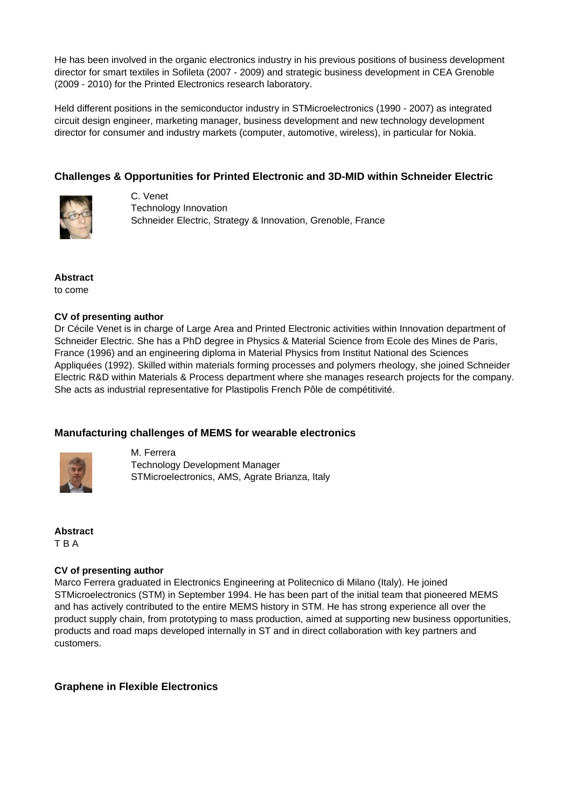He has been involved in the organic electronics industry in his previous positions of business development director for smart textiles in Sofileta (2007 - 2009) and strategic business development in CEA Grenoble (2009 - 2010) for the Printed Electronics research laboratory.

Held different positions in the semiconductor industry in STMicroelectronics (1990 - 2007) as integrated circuit design engineer, marketing manager, business development and new technology development director for consumer and industry markets (computer, automotive, wireless), in particular for Nokia.

# **Challenges & Opportunities for Printed Electronic and 3D-MID within Schneider Electric**



C. Venet Technology Innovation Schneider Electric, Strategy & Innovation, Grenoble, France

**Abstract** to come

## **CV of presenting author**

Dr Cécile Venet is in charge of Large Area and Printed Electronic activities within Innovation department of Schneider Electric. She has a PhD degree in Physics & Material Science from Ecole des Mines de Paris, France (1996) and an engineering diploma in Material Physics from Institut National des Sciences Appliquées (1992). Skilled within materials forming processes and polymers rheology, she joined Schneider Electric R&D within Materials & Process department where she manages research projects for the company. She acts as industrial representative for Plastipolis French Pôle de compétitivité.

# **Manufacturing challenges of MEMS for wearable electronics**



M. Ferrera Technology Development Manager STMicroelectronics, AMS, Agrate Brianza, Italy

**Abstract** T B A

## **CV of presenting author**

Marco Ferrera graduated in Electronics Engineering at Politecnico di Milano (Italy). He joined STMicroelectronics (STM) in September 1994. He has been part of the initial team that pioneered MEMS and has actively contributed to the entire MEMS history in STM. He has strong experience all over the product supply chain, from prototyping to mass production, aimed at supporting new business opportunities, products and road maps developed internally in ST and in direct collaboration with key partners and customers.

## **Graphene in Flexible Electronics**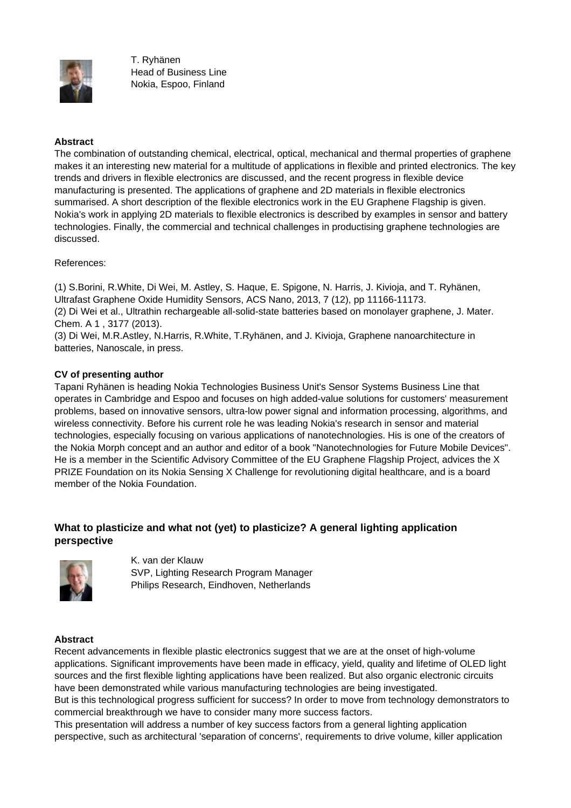

T. Ryhänen Head of Business Line Nokia, Espoo, Finland

## **Abstract**

The combination of outstanding chemical, electrical, optical, mechanical and thermal properties of graphene makes it an interesting new material for a multitude of applications in flexible and printed electronics. The key trends and drivers in flexible electronics are discussed, and the recent progress in flexible device manufacturing is presented. The applications of graphene and 2D materials in flexible electronics summarised. A short description of the flexible electronics work in the EU Graphene Flagship is given. Nokia's work in applying 2D materials to flexible electronics is described by examples in sensor and battery technologies. Finally, the commercial and technical challenges in productising graphene technologies are discussed.

References:

(1) S.Borini, R.White, Di Wei, M. Astley, S. Haque, E. Spigone, N. Harris, J. Kivioja, and T. Ryhänen, Ultrafast Graphene Oxide Humidity Sensors, ACS Nano, 2013, 7 (12), pp 11166-11173.

(2) Di Wei et al., Ultrathin rechargeable all-solid-state batteries based on monolayer graphene, J. Mater. Chem. A 1 , 3177 (2013).

(3) Di Wei, M.R.Astley, N.Harris, R.White, T.Ryhänen, and J. Kivioja, Graphene nanoarchitecture in batteries, Nanoscale, in press.

## **CV of presenting author**

Tapani Ryhänen is heading Nokia Technologies Business Unit's Sensor Systems Business Line that operates in Cambridge and Espoo and focuses on high added-value solutions for customers' measurement problems, based on innovative sensors, ultra-low power signal and information processing, algorithms, and wireless connectivity. Before his current role he was leading Nokia's research in sensor and material technologies, especially focusing on various applications of nanotechnologies. His is one of the creators of the Nokia Morph concept and an author and editor of a book "Nanotechnologies for Future Mobile Devices". He is a member in the Scientific Advisory Committee of the EU Graphene Flagship Project, advices the X PRIZE Foundation on its Nokia Sensing X Challenge for revolutioning digital healthcare, and is a board member of the Nokia Foundation.

# **What to plasticize and what not (yet) to plasticize? A general lighting application perspective**



K. van der Klauw SVP, Lighting Research Program Manager Philips Research, Eindhoven, Netherlands

#### **Abstract**

Recent advancements in flexible plastic electronics suggest that we are at the onset of high-volume applications. Significant improvements have been made in efficacy, yield, quality and lifetime of OLED light sources and the first flexible lighting applications have been realized. But also organic electronic circuits have been demonstrated while various manufacturing technologies are being investigated. But is this technological progress sufficient for success? In order to move from technology demonstrators to

commercial breakthrough we have to consider many more success factors. This presentation will address a number of key success factors from a general lighting application

perspective, such as architectural 'separation of concerns', requirements to drive volume, killer application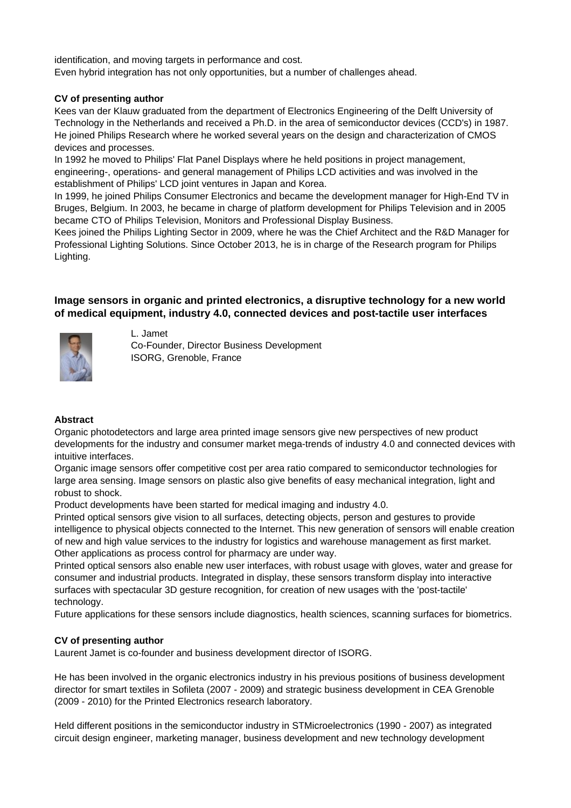identification, and moving targets in performance and cost. Even hybrid integration has not only opportunities, but a number of challenges ahead.

## **CV of presenting author**

Kees van der Klauw graduated from the department of Electronics Engineering of the Delft University of Technology in the Netherlands and received a Ph.D. in the area of semiconductor devices (CCD's) in 1987. He joined Philips Research where he worked several years on the design and characterization of CMOS devices and processes.

In 1992 he moved to Philips' Flat Panel Displays where he held positions in project management, engineering-, operations- and general management of Philips LCD activities and was involved in the establishment of Philips' LCD joint ventures in Japan and Korea.

In 1999, he joined Philips Consumer Electronics and became the development manager for High-End TV in Bruges, Belgium. In 2003, he became in charge of platform development for Philips Television and in 2005 became CTO of Philips Television, Monitors and Professional Display Business.

Kees joined the Philips Lighting Sector in 2009, where he was the Chief Architect and the R&D Manager for Professional Lighting Solutions. Since October 2013, he is in charge of the Research program for Philips Lighting.

# **Image sensors in organic and printed electronics, a disruptive technology for a new world of medical equipment, industry 4.0, connected devices and post-tactile user interfaces**



# L. Jamet

Co-Founder, Director Business Development ISORG, Grenoble, France

## **Abstract**

Organic photodetectors and large area printed image sensors give new perspectives of new product developments for the industry and consumer market mega-trends of industry 4.0 and connected devices with intuitive interfaces.

Organic image sensors offer competitive cost per area ratio compared to semiconductor technologies for large area sensing. Image sensors on plastic also give benefits of easy mechanical integration, light and robust to shock.

Product developments have been started for medical imaging and industry 4.0.

Printed optical sensors give vision to all surfaces, detecting objects, person and gestures to provide intelligence to physical objects connected to the Internet. This new generation of sensors will enable creation of new and high value services to the industry for logistics and warehouse management as first market. Other applications as process control for pharmacy are under way.

Printed optical sensors also enable new user interfaces, with robust usage with gloves, water and grease for consumer and industrial products. Integrated in display, these sensors transform display into interactive surfaces with spectacular 3D gesture recognition, for creation of new usages with the 'post-tactile' technology.

Future applications for these sensors include diagnostics, health sciences, scanning surfaces for biometrics.

# **CV of presenting author**

Laurent Jamet is co-founder and business development director of ISORG.

He has been involved in the organic electronics industry in his previous positions of business development director for smart textiles in Sofileta (2007 - 2009) and strategic business development in CEA Grenoble (2009 - 2010) for the Printed Electronics research laboratory.

Held different positions in the semiconductor industry in STMicroelectronics (1990 - 2007) as integrated circuit design engineer, marketing manager, business development and new technology development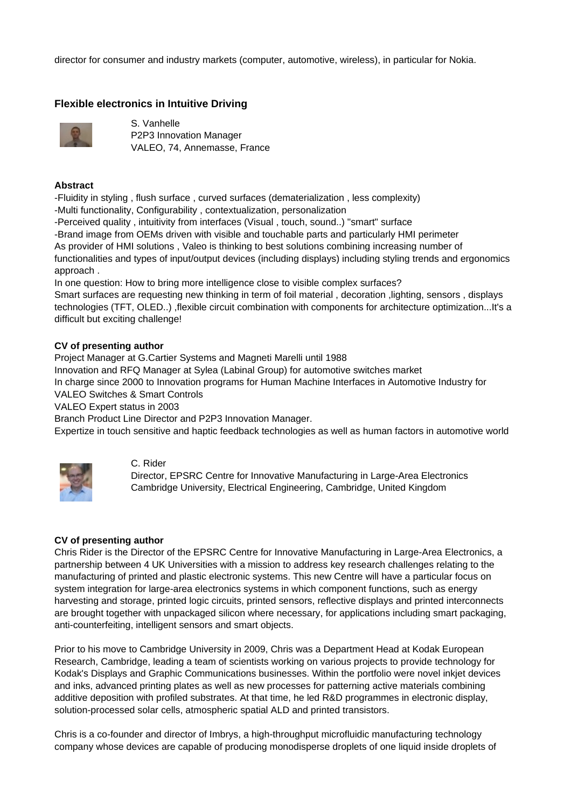director for consumer and industry markets (computer, automotive, wireless), in particular for Nokia.

## **Flexible electronics in Intuitive Driving**



S. Vanhelle P2P3 Innovation Manager VALEO, 74, Annemasse, France

### **Abstract**

-Fluidity in styling , flush surface , curved surfaces (dematerialization , less complexity)

-Multi functionality, Configurability , contextualization, personalization

-Perceived quality , intuitivity from interfaces (Visual , touch, sound..) "smart" surface

-Brand image from OEMs driven with visible and touchable parts and particularly HMI perimeter

As provider of HMI solutions , Valeo is thinking to best solutions combining increasing number of

functionalities and types of input/output devices (including displays) including styling trends and ergonomics approach .

In one question: How to bring more intelligence close to visible complex surfaces? Smart surfaces are requesting new thinking in term of foil material , decoration ,lighting, sensors , displays technologies (TFT, OLED..) ,flexible circuit combination with components for architecture optimization...It's a difficult but exciting challenge!

## **CV of presenting author**

Project Manager at G.Cartier Systems and Magneti Marelli until 1988

Innovation and RFQ Manager at Sylea (Labinal Group) for automotive switches market

In charge since 2000 to Innovation programs for Human Machine Interfaces in Automotive Industry for VALEO Switches & Smart Controls

VALEO Expert status in 2003

Branch Product Line Director and P2P3 Innovation Manager.

Expertize in touch sensitive and haptic feedback technologies as well as human factors in automotive world



#### C. Rider

Director, EPSRC Centre for Innovative Manufacturing in Large-Area Electronics Cambridge University, Electrical Engineering, Cambridge, United Kingdom

## **CV of presenting author**

Chris Rider is the Director of the EPSRC Centre for Innovative Manufacturing in Large-Area Electronics, a partnership between 4 UK Universities with a mission to address key research challenges relating to the manufacturing of printed and plastic electronic systems. This new Centre will have a particular focus on system integration for large-area electronics systems in which component functions, such as energy harvesting and storage, printed logic circuits, printed sensors, reflective displays and printed interconnects are brought together with unpackaged silicon where necessary, for applications including smart packaging, anti-counterfeiting, intelligent sensors and smart objects.

Prior to his move to Cambridge University in 2009, Chris was a Department Head at Kodak European Research, Cambridge, leading a team of scientists working on various projects to provide technology for Kodak's Displays and Graphic Communications businesses. Within the portfolio were novel inkjet devices and inks, advanced printing plates as well as new processes for patterning active materials combining additive deposition with profiled substrates. At that time, he led R&D programmes in electronic display, solution-processed solar cells, atmospheric spatial ALD and printed transistors.

Chris is a co-founder and director of Imbrys, a high-throughput microfluidic manufacturing technology company whose devices are capable of producing monodisperse droplets of one liquid inside droplets of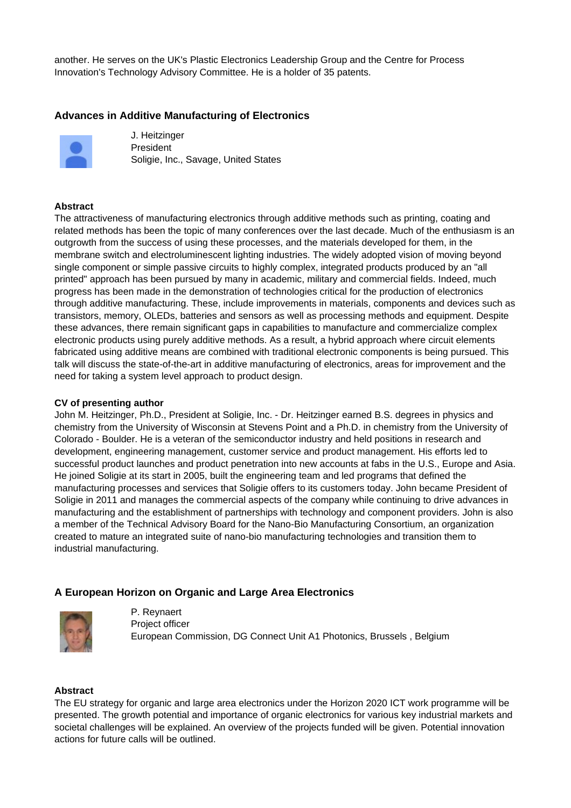another. He serves on the UK's Plastic Electronics Leadership Group and the Centre for Process Innovation's Technology Advisory Committee. He is a holder of 35 patents.

# **Advances in Additive Manufacturing of Electronics**



J. Heitzinger President Soligie, Inc., Savage, United States

### **Abstract**

The attractiveness of manufacturing electronics through additive methods such as printing, coating and related methods has been the topic of many conferences over the last decade. Much of the enthusiasm is an outgrowth from the success of using these processes, and the materials developed for them, in the membrane switch and electroluminescent lighting industries. The widely adopted vision of moving beyond single component or simple passive circuits to highly complex, integrated products produced by an "all printed" approach has been pursued by many in academic, military and commercial fields. Indeed, much progress has been made in the demonstration of technologies critical for the production of electronics through additive manufacturing. These, include improvements in materials, components and devices such as transistors, memory, OLEDs, batteries and sensors as well as processing methods and equipment. Despite these advances, there remain significant gaps in capabilities to manufacture and commercialize complex electronic products using purely additive methods. As a result, a hybrid approach where circuit elements fabricated using additive means are combined with traditional electronic components is being pursued. This talk will discuss the state-of-the-art in additive manufacturing of electronics, areas for improvement and the need for taking a system level approach to product design.

#### **CV of presenting author**

John M. Heitzinger, Ph.D., President at Soligie, Inc. - Dr. Heitzinger earned B.S. degrees in physics and chemistry from the University of Wisconsin at Stevens Point and a Ph.D. in chemistry from the University of Colorado - Boulder. He is a veteran of the semiconductor industry and held positions in research and development, engineering management, customer service and product management. His efforts led to successful product launches and product penetration into new accounts at fabs in the U.S., Europe and Asia. He joined Soligie at its start in 2005, built the engineering team and led programs that defined the manufacturing processes and services that Soligie offers to its customers today. John became President of Soligie in 2011 and manages the commercial aspects of the company while continuing to drive advances in manufacturing and the establishment of partnerships with technology and component providers. John is also a member of the Technical Advisory Board for the Nano-Bio Manufacturing Consortium, an organization created to mature an integrated suite of nano-bio manufacturing technologies and transition them to industrial manufacturing.

## **A European Horizon on Organic and Large Area Electronics**



P. Reynaert Project officer European Commission, DG Connect Unit A1 Photonics, Brussels , Belgium

#### **Abstract**

The EU strategy for organic and large area electronics under the Horizon 2020 ICT work programme will be presented. The growth potential and importance of organic electronics for various key industrial markets and societal challenges will be explained. An overview of the projects funded will be given. Potential innovation actions for future calls will be outlined.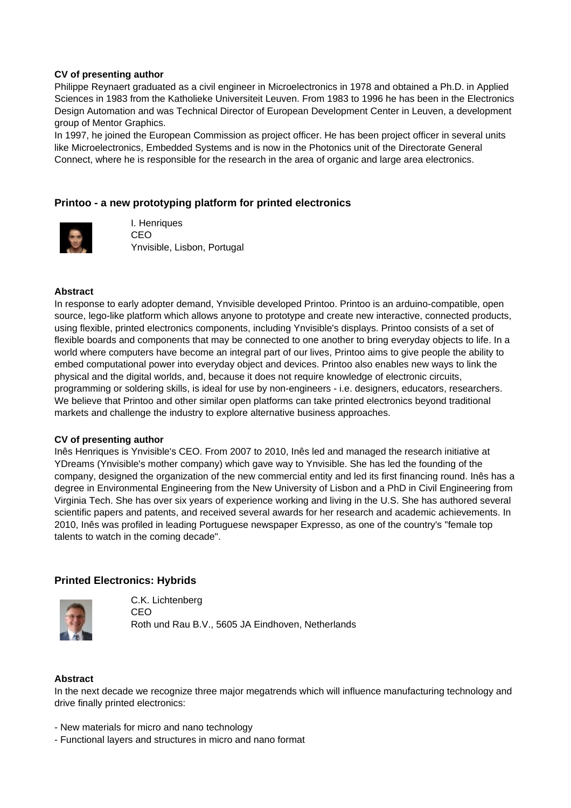### **CV of presenting author**

Philippe Reynaert graduated as a civil engineer in Microelectronics in 1978 and obtained a Ph.D. in Applied Sciences in 1983 from the Katholieke Universiteit Leuven. From 1983 to 1996 he has been in the Electronics Design Automation and was Technical Director of European Development Center in Leuven, a development group of Mentor Graphics.

In 1997, he joined the European Commission as project officer. He has been project officer in several units like Microelectronics, Embedded Systems and is now in the Photonics unit of the Directorate General Connect, where he is responsible for the research in the area of organic and large area electronics.

## **Printoo - a new prototyping platform for printed electronics**



I. Henriques CEO Ynvisible, Lisbon, Portugal

#### **Abstract**

In response to early adopter demand, Ynvisible developed Printoo. Printoo is an arduino-compatible, open source, lego-like platform which allows anyone to prototype and create new interactive, connected products, using flexible, printed electronics components, including Ynvisible's displays. Printoo consists of a set of flexible boards and components that may be connected to one another to bring everyday objects to life. In a world where computers have become an integral part of our lives, Printoo aims to give people the ability to embed computational power into everyday object and devices. Printoo also enables new ways to link the physical and the digital worlds, and, because it does not require knowledge of electronic circuits, programming or soldering skills, is ideal for use by non-engineers - i.e. designers, educators, researchers. We believe that Printoo and other similar open platforms can take printed electronics beyond traditional markets and challenge the industry to explore alternative business approaches.

#### **CV of presenting author**

Inês Henriques is Ynvisible's CEO. From 2007 to 2010, Inês led and managed the research initiative at YDreams (Ynvisible's mother company) which gave way to Ynvisible. She has led the founding of the company, designed the organization of the new commercial entity and led its first financing round. Inês has a degree in Environmental Engineering from the New University of Lisbon and a PhD in Civil Engineering from Virginia Tech. She has over six years of experience working and living in the U.S. She has authored several scientific papers and patents, and received several awards for her research and academic achievements. In 2010, Inês was profiled in leading Portuguese newspaper Expresso, as one of the country's "female top talents to watch in the coming decade".

## **Printed Electronics: Hybrids**



C.K. Lichtenberg CEO Roth und Rau B.V., 5605 JA Eindhoven, Netherlands

#### **Abstract**

In the next decade we recognize three major megatrends which will influence manufacturing technology and drive finally printed electronics:

- New materials for micro and nano technology
- Functional layers and structures in micro and nano format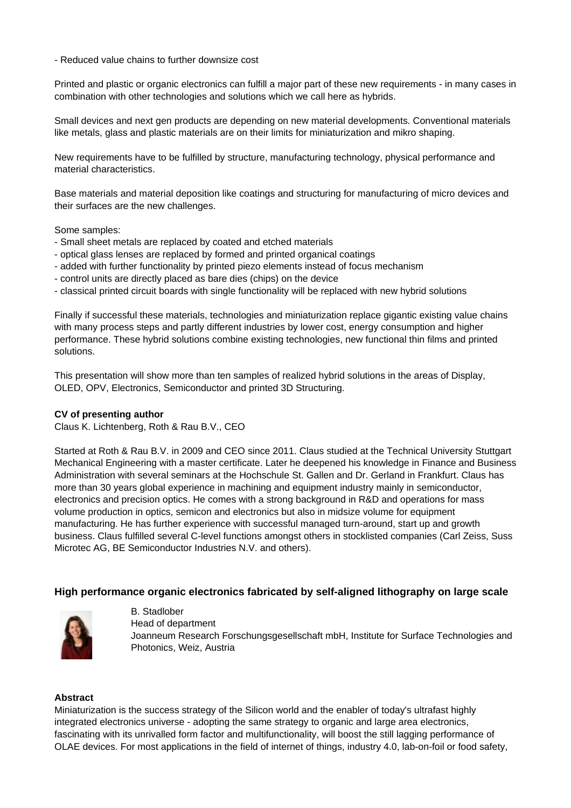- Reduced value chains to further downsize cost

Printed and plastic or organic electronics can fulfill a major part of these new requirements - in many cases in combination with other technologies and solutions which we call here as hybrids.

Small devices and next gen products are depending on new material developments. Conventional materials like metals, glass and plastic materials are on their limits for miniaturization and mikro shaping.

New requirements have to be fulfilled by structure, manufacturing technology, physical performance and material characteristics.

Base materials and material deposition like coatings and structuring for manufacturing of micro devices and their surfaces are the new challenges.

Some samples:

- Small sheet metals are replaced by coated and etched materials
- optical glass lenses are replaced by formed and printed organical coatings
- added with further functionality by printed piezo elements instead of focus mechanism
- control units are directly placed as bare dies (chips) on the device
- classical printed circuit boards with single functionality will be replaced with new hybrid solutions

Finally if successful these materials, technologies and miniaturization replace gigantic existing value chains with many process steps and partly different industries by lower cost, energy consumption and higher performance. These hybrid solutions combine existing technologies, new functional thin films and printed solutions.

This presentation will show more than ten samples of realized hybrid solutions in the areas of Display, OLED, OPV, Electronics, Semiconductor and printed 3D Structuring.

#### **CV of presenting author**

Claus K. Lichtenberg, Roth & Rau B.V., CEO

Started at Roth & Rau B.V. in 2009 and CEO since 2011. Claus studied at the Technical University Stuttgart Mechanical Engineering with a master certificate. Later he deepened his knowledge in Finance and Business Administration with several seminars at the Hochschule St. Gallen and Dr. Gerland in Frankfurt. Claus has more than 30 years global experience in machining and equipment industry mainly in semiconductor, electronics and precision optics. He comes with a strong background in R&D and operations for mass volume production in optics, semicon and electronics but also in midsize volume for equipment manufacturing. He has further experience with successful managed turn-around, start up and growth business. Claus fulfilled several C-level functions amongst others in stocklisted companies (Carl Zeiss, Suss Microtec AG, BE Semiconductor Industries N.V. and others).

## **High performance organic electronics fabricated by self-aligned lithography on large scale**



B. Stadlober Head of department Joanneum Research Forschungsgesellschaft mbH, Institute for Surface Technologies and Photonics, Weiz, Austria

#### **Abstract**

Miniaturization is the success strategy of the Silicon world and the enabler of today's ultrafast highly integrated electronics universe - adopting the same strategy to organic and large area electronics, fascinating with its unrivalled form factor and multifunctionality, will boost the still lagging performance of OLAE devices. For most applications in the field of internet of things, industry 4.0, lab-on-foil or food safety,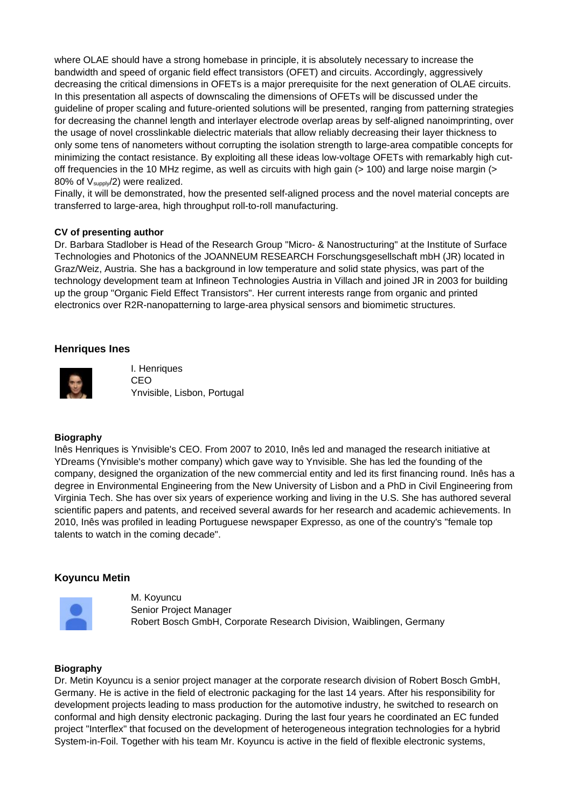where OLAE should have a strong homebase in principle, it is absolutely necessary to increase the bandwidth and speed of organic field effect transistors (OFET) and circuits. Accordingly, aggressively decreasing the critical dimensions in OFETs is a major prerequisite for the next generation of OLAE circuits. In this presentation all aspects of downscaling the dimensions of OFETs will be discussed under the guideline of proper scaling and future-oriented solutions will be presented, ranging from patterning strategies for decreasing the channel length and interlayer electrode overlap areas by self-aligned nanoimprinting, over the usage of novel crosslinkable dielectric materials that allow reliably decreasing their layer thickness to only some tens of nanometers without corrupting the isolation strength to large-area compatible concepts for minimizing the contact resistance. By exploiting all these ideas low-voltage OFETs with remarkably high cutoff frequencies in the 10 MHz regime, as well as circuits with high gain (> 100) and large noise margin (> 80% of  $V_{supply}/2$ ) were realized.

Finally, it will be demonstrated, how the presented self-aligned process and the novel material concepts are transferred to large-area, high throughput roll-to-roll manufacturing.

## **CV of presenting author**

Dr. Barbara Stadlober is Head of the Research Group "Micro- & Nanostructuring" at the Institute of Surface Technologies and Photonics of the JOANNEUM RESEARCH Forschungsgesellschaft mbH (JR) located in Graz/Weiz, Austria. She has a background in low temperature and solid state physics, was part of the technology development team at Infineon Technologies Austria in Villach and joined JR in 2003 for building up the group "Organic Field Effect Transistors". Her current interests range from organic and printed electronics over R2R-nanopatterning to large-area physical sensors and biomimetic structures.

### **Henriques Ines**



I. Henriques CEO Ynvisible, Lisbon, Portugal

#### **Biography**

Inês Henriques is Ynvisible's CEO. From 2007 to 2010, Inês led and managed the research initiative at YDreams (Ynvisible's mother company) which gave way to Ynvisible. She has led the founding of the company, designed the organization of the new commercial entity and led its first financing round. Inês has a degree in Environmental Engineering from the New University of Lisbon and a PhD in Civil Engineering from Virginia Tech. She has over six years of experience working and living in the U.S. She has authored several scientific papers and patents, and received several awards for her research and academic achievements. In 2010, Inês was profiled in leading Portuguese newspaper Expresso, as one of the country's "female top talents to watch in the coming decade".

## **Koyuncu Metin**



M. Koyuncu Senior Project Manager Robert Bosch GmbH, Corporate Research Division, Waiblingen, Germany

#### **Biography**

Dr. Metin Koyuncu is a senior project manager at the corporate research division of Robert Bosch GmbH, Germany. He is active in the field of electronic packaging for the last 14 years. After his responsibility for development projects leading to mass production for the automotive industry, he switched to research on conformal and high density electronic packaging. During the last four years he coordinated an EC funded project "Interflex" that focused on the development of heterogeneous integration technologies for a hybrid System-in-Foil. Together with his team Mr. Koyuncu is active in the field of flexible electronic systems,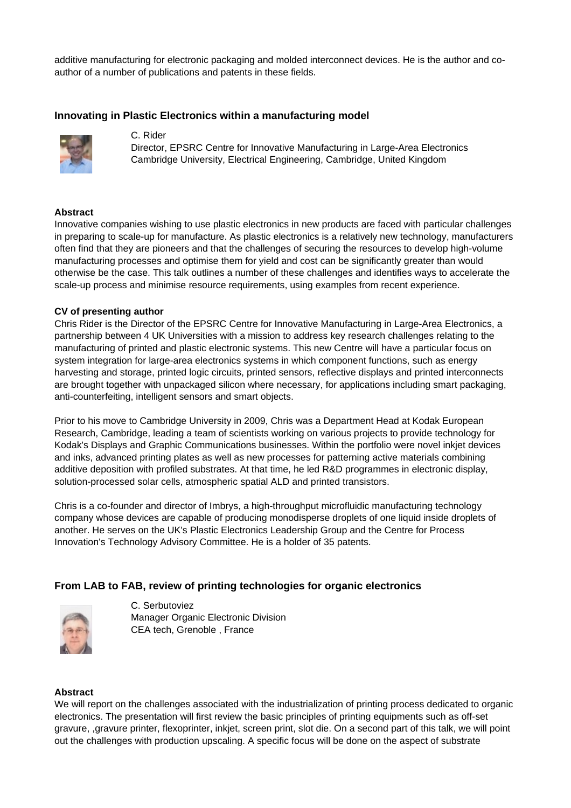additive manufacturing for electronic packaging and molded interconnect devices. He is the author and coauthor of a number of publications and patents in these fields.

## **Innovating in Plastic Electronics within a manufacturing model**



C. Rider

Director, EPSRC Centre for Innovative Manufacturing in Large-Area Electronics Cambridge University, Electrical Engineering, Cambridge, United Kingdom

#### **Abstract**

Innovative companies wishing to use plastic electronics in new products are faced with particular challenges in preparing to scale-up for manufacture. As plastic electronics is a relatively new technology, manufacturers often find that they are pioneers and that the challenges of securing the resources to develop high-volume manufacturing processes and optimise them for yield and cost can be significantly greater than would otherwise be the case. This talk outlines a number of these challenges and identifies ways to accelerate the scale-up process and minimise resource requirements, using examples from recent experience.

### **CV of presenting author**

Chris Rider is the Director of the EPSRC Centre for Innovative Manufacturing in Large-Area Electronics, a partnership between 4 UK Universities with a mission to address key research challenges relating to the manufacturing of printed and plastic electronic systems. This new Centre will have a particular focus on system integration for large-area electronics systems in which component functions, such as energy harvesting and storage, printed logic circuits, printed sensors, reflective displays and printed interconnects are brought together with unpackaged silicon where necessary, for applications including smart packaging, anti-counterfeiting, intelligent sensors and smart objects.

Prior to his move to Cambridge University in 2009, Chris was a Department Head at Kodak European Research, Cambridge, leading a team of scientists working on various projects to provide technology for Kodak's Displays and Graphic Communications businesses. Within the portfolio were novel inkjet devices and inks, advanced printing plates as well as new processes for patterning active materials combining additive deposition with profiled substrates. At that time, he led R&D programmes in electronic display, solution-processed solar cells, atmospheric spatial ALD and printed transistors.

Chris is a co-founder and director of Imbrys, a high-throughput microfluidic manufacturing technology company whose devices are capable of producing monodisperse droplets of one liquid inside droplets of another. He serves on the UK's Plastic Electronics Leadership Group and the Centre for Process Innovation's Technology Advisory Committee. He is a holder of 35 patents.

## **From LAB to FAB, review of printing technologies for organic electronics**



C. Serbutoviez Manager Organic Electronic Division CEA tech, Grenoble , France

#### **Abstract**

We will report on the challenges associated with the industrialization of printing process dedicated to organic electronics. The presentation will first review the basic principles of printing equipments such as off-set gravure, ,gravure printer, flexoprinter, inkjet, screen print, slot die. On a second part of this talk, we will point out the challenges with production upscaling. A specific focus will be done on the aspect of substrate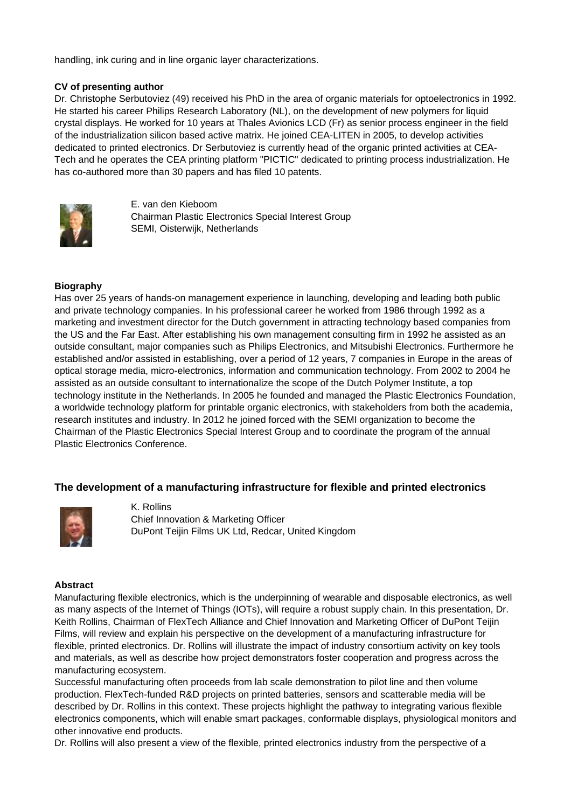handling, ink curing and in line organic layer characterizations.

## **CV of presenting author**

Dr. Christophe Serbutoviez (49) received his PhD in the area of organic materials for optoelectronics in 1992. He started his career Philips Research Laboratory (NL), on the development of new polymers for liquid crystal displays. He worked for 10 years at Thales Avionics LCD (Fr) as senior process engineer in the field of the industrialization silicon based active matrix. He joined CEA-LITEN in 2005, to develop activities dedicated to printed electronics. Dr Serbutoviez is currently head of the organic printed activities at CEA-Tech and he operates the CEA printing platform "PICTIC" dedicated to printing process industrialization. He has co-authored more than 30 papers and has filed 10 patents.



E. van den Kieboom Chairman Plastic Electronics Special Interest Group SEMI, Oisterwijk, Netherlands

### **Biography**

Has over 25 years of hands-on management experience in launching, developing and leading both public and private technology companies. In his professional career he worked from 1986 through 1992 as a marketing and investment director for the Dutch government in attracting technology based companies from the US and the Far East. After establishing his own management consulting firm in 1992 he assisted as an outside consultant, major companies such as Philips Electronics, and Mitsubishi Electronics. Furthermore he established and/or assisted in establishing, over a period of 12 years, 7 companies in Europe in the areas of optical storage media, micro-electronics, information and communication technology. From 2002 to 2004 he assisted as an outside consultant to internationalize the scope of the Dutch Polymer Institute, a top technology institute in the Netherlands. In 2005 he founded and managed the Plastic Electronics Foundation, a worldwide technology platform for printable organic electronics, with stakeholders from both the academia, research institutes and industry. In 2012 he joined forced with the SEMI organization to become the Chairman of the Plastic Electronics Special Interest Group and to coordinate the program of the annual Plastic Electronics Conference.

## **The development of a manufacturing infrastructure for flexible and printed electronics**



K. Rollins Chief Innovation & Marketing Officer DuPont Teijin Films UK Ltd, Redcar, United Kingdom

#### **Abstract**

Manufacturing flexible electronics, which is the underpinning of wearable and disposable electronics, as well as many aspects of the Internet of Things (IOTs), will require a robust supply chain. In this presentation, Dr. Keith Rollins, Chairman of FlexTech Alliance and Chief Innovation and Marketing Officer of DuPont Teijin Films, will review and explain his perspective on the development of a manufacturing infrastructure for flexible, printed electronics. Dr. Rollins will illustrate the impact of industry consortium activity on key tools and materials, as well as describe how project demonstrators foster cooperation and progress across the manufacturing ecosystem.

Successful manufacturing often proceeds from lab scale demonstration to pilot line and then volume production. FlexTech-funded R&D projects on printed batteries, sensors and scatterable media will be described by Dr. Rollins in this context. These projects highlight the pathway to integrating various flexible electronics components, which will enable smart packages, conformable displays, physiological monitors and other innovative end products.

Dr. Rollins will also present a view of the flexible, printed electronics industry from the perspective of a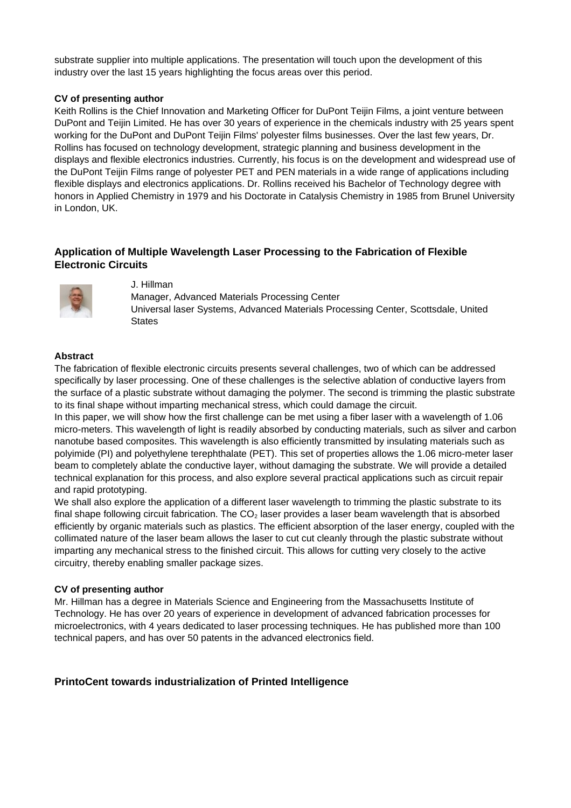substrate supplier into multiple applications. The presentation will touch upon the development of this industry over the last 15 years highlighting the focus areas over this period.

### **CV of presenting author**

Keith Rollins is the Chief Innovation and Marketing Officer for DuPont Teijin Films, a joint venture between DuPont and Teijin Limited. He has over 30 years of experience in the chemicals industry with 25 years spent working for the DuPont and DuPont Teijin Films' polyester films businesses. Over the last few years, Dr. Rollins has focused on technology development, strategic planning and business development in the displays and flexible electronics industries. Currently, his focus is on the development and widespread use of the DuPont Teijin Films range of polyester PET and PEN materials in a wide range of applications including flexible displays and electronics applications. Dr. Rollins received his Bachelor of Technology degree with honors in Applied Chemistry in 1979 and his Doctorate in Catalysis Chemistry in 1985 from Brunel University in London, UK.

# **Application of Multiple Wavelength Laser Processing to the Fabrication of Flexible Electronic Circuits**



J. Hillman

Manager, Advanced Materials Processing Center Universal laser Systems, Advanced Materials Processing Center, Scottsdale, United **States** 

### **Abstract**

The fabrication of flexible electronic circuits presents several challenges, two of which can be addressed specifically by laser processing. One of these challenges is the selective ablation of conductive layers from the surface of a plastic substrate without damaging the polymer. The second is trimming the plastic substrate to its final shape without imparting mechanical stress, which could damage the circuit.

In this paper, we will show how the first challenge can be met using a fiber laser with a wavelength of 1.06 micro-meters. This wavelength of light is readily absorbed by conducting materials, such as silver and carbon nanotube based composites. This wavelength is also efficiently transmitted by insulating materials such as polyimide (PI) and polyethylene terephthalate (PET). This set of properties allows the 1.06 micro-meter laser beam to completely ablate the conductive layer, without damaging the substrate. We will provide a detailed technical explanation for this process, and also explore several practical applications such as circuit repair and rapid prototyping.

We shall also explore the application of a different laser wavelength to trimming the plastic substrate to its final shape following circuit fabrication. The  $CO<sub>2</sub>$  laser provides a laser beam wavelength that is absorbed efficiently by organic materials such as plastics. The efficient absorption of the laser energy, coupled with the collimated nature of the laser beam allows the laser to cut cut cleanly through the plastic substrate without imparting any mechanical stress to the finished circuit. This allows for cutting very closely to the active circuitry, thereby enabling smaller package sizes.

## **CV of presenting author**

Mr. Hillman has a degree in Materials Science and Engineering from the Massachusetts Institute of Technology. He has over 20 years of experience in development of advanced fabrication processes for microelectronics, with 4 years dedicated to laser processing techniques. He has published more than 100 technical papers, and has over 50 patents in the advanced electronics field.

## **PrintoCent towards industrialization of Printed Intelligence**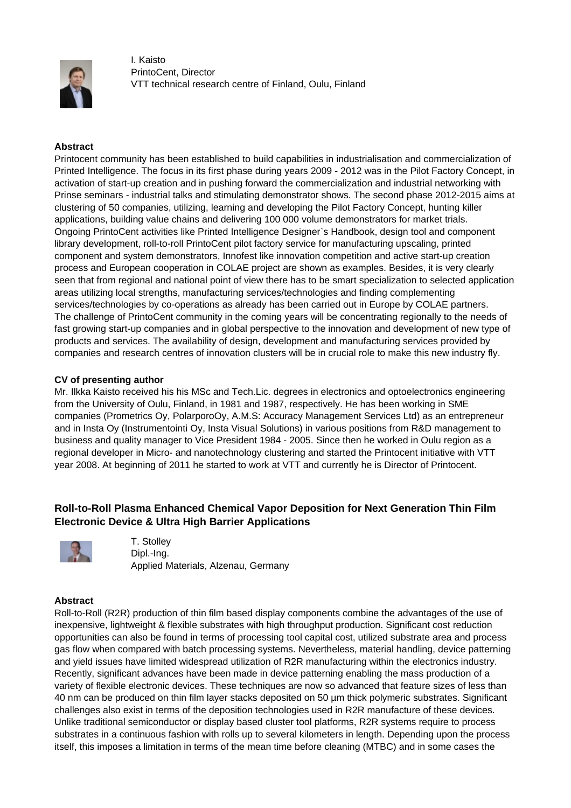

I. Kaisto PrintoCent, Director VTT technical research centre of Finland, Oulu, Finland

## **Abstract**

Printocent community has been established to build capabilities in industrialisation and commercialization of Printed Intelligence. The focus in its first phase during years 2009 - 2012 was in the Pilot Factory Concept, in activation of start-up creation and in pushing forward the commercialization and industrial networking with Prinse seminars - industrial talks and stimulating demonstrator shows. The second phase 2012-2015 aims at clustering of 50 companies, utilizing, learning and developing the Pilot Factory Concept, hunting killer applications, building value chains and delivering 100 000 volume demonstrators for market trials. Ongoing PrintoCent activities like Printed Intelligence Designer`s Handbook, design tool and component library development, roll-to-roll PrintoCent pilot factory service for manufacturing upscaling, printed component and system demonstrators, Innofest like innovation competition and active start-up creation process and European cooperation in COLAE project are shown as examples. Besides, it is very clearly seen that from regional and national point of view there has to be smart specialization to selected application areas utilizing local strengths, manufacturing services/technologies and finding complementing services/technologies by co-operations as already has been carried out in Europe by COLAE partners. The challenge of PrintoCent community in the coming years will be concentrating regionally to the needs of fast growing start-up companies and in global perspective to the innovation and development of new type of products and services. The availability of design, development and manufacturing services provided by companies and research centres of innovation clusters will be in crucial role to make this new industry fly.

### **CV of presenting author**

Mr. Ilkka Kaisto received his his MSc and Tech.Lic. degrees in electronics and optoelectronics engineering from the University of Oulu, Finland, in 1981 and 1987, respectively. He has been working in SME companies (Prometrics Oy, PolarporoOy, A.M.S: Accuracy Management Services Ltd) as an entrepreneur and in Insta Oy (Instrumentointi Oy, Insta Visual Solutions) in various positions from R&D management to business and quality manager to Vice President 1984 - 2005. Since then he worked in Oulu region as a regional developer in Micro- and nanotechnology clustering and started the Printocent initiative with VTT year 2008. At beginning of 2011 he started to work at VTT and currently he is Director of Printocent.

# **Roll-to-Roll Plasma Enhanced Chemical Vapor Deposition for Next Generation Thin Film Electronic Device & Ultra High Barrier Applications**



T. Stolley Dipl.-Ing. Applied Materials, Alzenau, Germany

#### **Abstract**

Roll-to-Roll (R2R) production of thin film based display components combine the advantages of the use of inexpensive, lightweight & flexible substrates with high throughput production. Significant cost reduction opportunities can also be found in terms of processing tool capital cost, utilized substrate area and process gas flow when compared with batch processing systems. Nevertheless, material handling, device patterning and yield issues have limited widespread utilization of R2R manufacturing within the electronics industry. Recently, significant advances have been made in device patterning enabling the mass production of a variety of flexible electronic devices. These techniques are now so advanced that feature sizes of less than 40 nm can be produced on thin film layer stacks deposited on 50 µm thick polymeric substrates. Significant challenges also exist in terms of the deposition technologies used in R2R manufacture of these devices. Unlike traditional semiconductor or display based cluster tool platforms, R2R systems require to process substrates in a continuous fashion with rolls up to several kilometers in length. Depending upon the process itself, this imposes a limitation in terms of the mean time before cleaning (MTBC) and in some cases the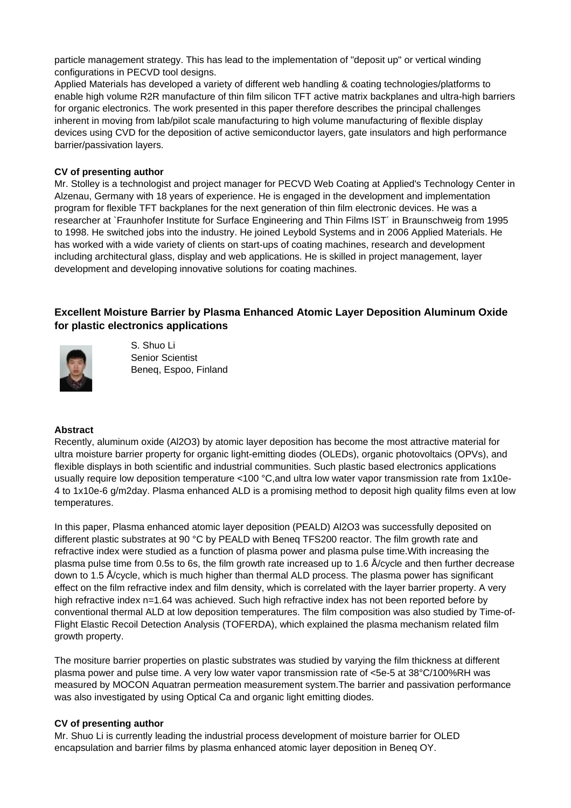particle management strategy. This has lead to the implementation of "deposit up" or vertical winding configurations in PECVD tool designs.

Applied Materials has developed a variety of different web handling & coating technologies/platforms to enable high volume R2R manufacture of thin film silicon TFT active matrix backplanes and ultra-high barriers for organic electronics. The work presented in this paper therefore describes the principal challenges inherent in moving from lab/pilot scale manufacturing to high volume manufacturing of flexible display devices using CVD for the deposition of active semiconductor layers, gate insulators and high performance barrier/passivation layers.

### **CV of presenting author**

Mr. Stolley is a technologist and project manager for PECVD Web Coating at Applied's Technology Center in Alzenau, Germany with 18 years of experience. He is engaged in the development and implementation program for flexible TFT backplanes for the next generation of thin film electronic devices. He was a researcher at `Fraunhofer Institute for Surface Engineering and Thin Films IST´ in Braunschweig from 1995 to 1998. He switched jobs into the industry. He joined Leybold Systems and in 2006 Applied Materials. He has worked with a wide variety of clients on start-ups of coating machines, research and development including architectural glass, display and web applications. He is skilled in project management, layer development and developing innovative solutions for coating machines.

# **Excellent Moisture Barrier by Plasma Enhanced Atomic Layer Deposition Aluminum Oxide for plastic electronics applications**



S. Shuo Li Senior Scientist Beneq, Espoo, Finland

#### **Abstract**

Recently, aluminum oxide (Al2O3) by atomic layer deposition has become the most attractive material for ultra moisture barrier property for organic light-emitting diodes (OLEDs), organic photovoltaics (OPVs), and flexible displays in both scientific and industrial communities. Such plastic based electronics applications usually require low deposition temperature <100 °C, and ultra low water vapor transmission rate from 1x10e-4 to 1x10e-6 g/m2day. Plasma enhanced ALD is a promising method to deposit high quality films even at low temperatures.

In this paper, Plasma enhanced atomic layer deposition (PEALD) Al2O3 was successfully deposited on different plastic substrates at 90 °C by PEALD with Beneq TFS200 reactor. The film growth rate and refractive index were studied as a function of plasma power and plasma pulse time.With increasing the plasma pulse time from 0.5s to 6s, the film growth rate increased up to 1.6 Å/cycle and then further decrease down to 1.5 Å/cycle, which is much higher than thermal ALD process. The plasma power has significant effect on the film refractive index and film density, which is correlated with the layer barrier property. A very high refractive index  $n=1.64$  was achieved. Such high refractive index has not been reported before by conventional thermal ALD at low deposition temperatures. The film composition was also studied by Time-of-Flight Elastic Recoil Detection Analysis (TOFERDA), which explained the plasma mechanism related film growth property.

The mositure barrier properties on plastic substrates was studied by varying the film thickness at different plasma power and pulse time. A very low water vapor transmission rate of <5e-5 at 38°C/100%RH was measured by MOCON Aquatran permeation measurement system.The barrier and passivation performance was also investigated by using Optical Ca and organic light emitting diodes.

#### **CV of presenting author**

Mr. Shuo Li is currently leading the industrial process development of moisture barrier for OLED encapsulation and barrier films by plasma enhanced atomic layer deposition in Beneq OY.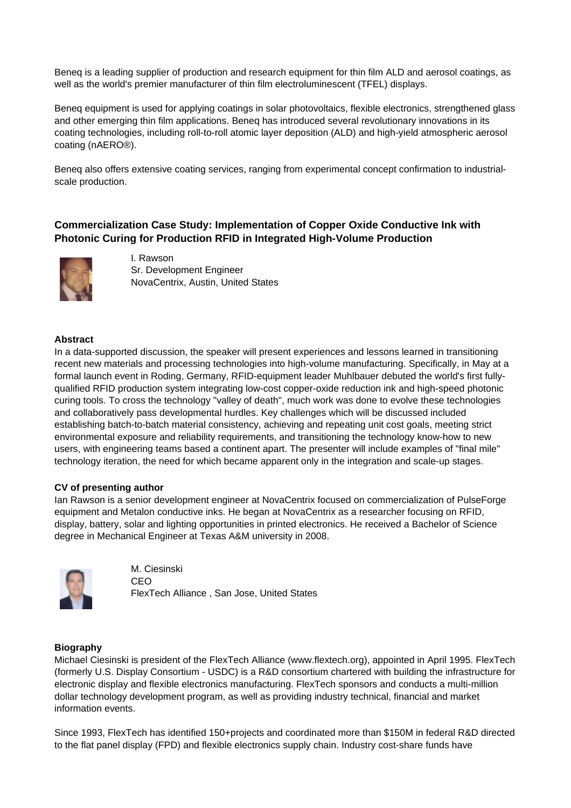Beneq is a leading supplier of production and research equipment for thin film ALD and aerosol coatings, as well as the world's premier manufacturer of thin film electroluminescent (TFEL) displays.

Beneq equipment is used for applying coatings in solar photovoltaics, flexible electronics, strengthened glass and other emerging thin film applications. Beneq has introduced several revolutionary innovations in its coating technologies, including roll-to-roll atomic layer deposition (ALD) and high-yield atmospheric aerosol coating (nAERO®).

Beneq also offers extensive coating services, ranging from experimental concept confirmation to industrialscale production.

# **Commercialization Case Study: Implementation of Copper Oxide Conductive Ink with Photonic Curing for Production RFID in Integrated High-Volume Production**



I. Rawson Sr. Development Engineer NovaCentrix, Austin, United States

### **Abstract**

In a data-supported discussion, the speaker will present experiences and lessons learned in transitioning recent new materials and processing technologies into high-volume manufacturing. Specifically, in May at a formal launch event in Roding, Germany, RFID-equipment leader Muhlbauer debuted the world's first fullyqualified RFID production system integrating low-cost copper-oxide reduction ink and high-speed photonic curing tools. To cross the technology "valley of death", much work was done to evolve these technologies and collaboratively pass developmental hurdles. Key challenges which will be discussed included establishing batch-to-batch material consistency, achieving and repeating unit cost goals, meeting strict environmental exposure and reliability requirements, and transitioning the technology know-how to new users, with engineering teams based a continent apart. The presenter will include examples of "final mile" technology iteration, the need for which became apparent only in the integration and scale-up stages.

#### **CV of presenting author**

Ian Rawson is a senior development engineer at NovaCentrix focused on commercialization of PulseForge equipment and Metalon conductive inks. He began at NovaCentrix as a researcher focusing on RFID, display, battery, solar and lighting opportunities in printed electronics. He received a Bachelor of Science degree in Mechanical Engineer at Texas A&M university in 2008.



M. Ciesinski CEO FlexTech Alliance , San Jose, United States

#### **Biography**

Michael Ciesinski is president of the FlexTech Alliance (www.flextech.org), appointed in April 1995. FlexTech (formerly U.S. Display Consortium - USDC) is a R&D consortium chartered with building the infrastructure for electronic display and flexible electronics manufacturing. FlexTech sponsors and conducts a multi-million dollar technology development program, as well as providing industry technical, financial and market information events.

Since 1993, FlexTech has identified 150+projects and coordinated more than \$150M in federal R&D directed to the flat panel display (FPD) and flexible electronics supply chain. Industry cost-share funds have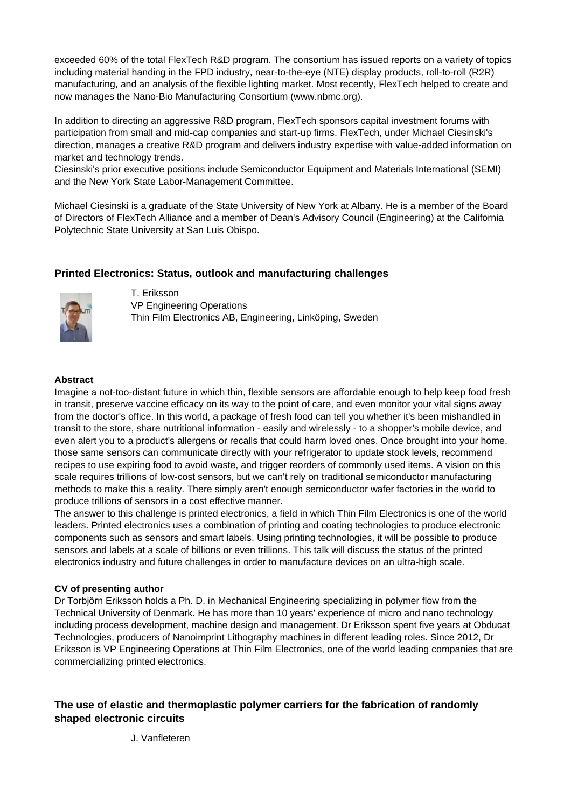exceeded 60% of the total FlexTech R&D program. The consortium has issued reports on a variety of topics including material handing in the FPD industry, near-to-the-eye (NTE) display products, roll-to-roll (R2R) manufacturing, and an analysis of the flexible lighting market. Most recently, FlexTech helped to create and now manages the Nano-Bio Manufacturing Consortium (www.nbmc.org).

In addition to directing an aggressive R&D program, FlexTech sponsors capital investment forums with participation from small and mid-cap companies and start-up firms. FlexTech, under Michael Ciesinski's direction, manages a creative R&D program and delivers industry expertise with value-added information on market and technology trends.

Ciesinski's prior executive positions include Semiconductor Equipment and Materials International (SEMI) and the New York State Labor-Management Committee.

Michael Ciesinski is a graduate of the State University of New York at Albany. He is a member of the Board of Directors of FlexTech Alliance and a member of Dean's Advisory Council (Engineering) at the California Polytechnic State University at San Luis Obispo.

# **Printed Electronics: Status, outlook and manufacturing challenges**



T. Eriksson VP Engineering Operations Thin Film Electronics AB, Engineering, Linköping, Sweden

### **Abstract**

Imagine a not-too-distant future in which thin, flexible sensors are affordable enough to help keep food fresh in transit, preserve vaccine efficacy on its way to the point of care, and even monitor your vital signs away from the doctor's office. In this world, a package of fresh food can tell you whether it's been mishandled in transit to the store, share nutritional information - easily and wirelessly - to a shopper's mobile device, and even alert you to a product's allergens or recalls that could harm loved ones. Once brought into your home, those same sensors can communicate directly with your refrigerator to update stock levels, recommend recipes to use expiring food to avoid waste, and trigger reorders of commonly used items. A vision on this scale requires trillions of low-cost sensors, but we can't rely on traditional semiconductor manufacturing methods to make this a reality. There simply aren't enough semiconductor wafer factories in the world to produce trillions of sensors in a cost effective manner.

The answer to this challenge is printed electronics, a field in which Thin Film Electronics is one of the world leaders. Printed electronics uses a combination of printing and coating technologies to produce electronic components such as sensors and smart labels. Using printing technologies, it will be possible to produce sensors and labels at a scale of billions or even trillions. This talk will discuss the status of the printed electronics industry and future challenges in order to manufacture devices on an ultra-high scale.

## **CV of presenting author**

Dr Torbjörn Eriksson holds a Ph. D. in Mechanical Engineering specializing in polymer flow from the Technical University of Denmark. He has more than 10 years' experience of micro and nano technology including process development, machine design and management. Dr Eriksson spent five years at Obducat Technologies, producers of Nanoimprint Lithography machines in different leading roles. Since 2012, Dr Eriksson is VP Engineering Operations at Thin Film Electronics, one of the world leading companies that are commercializing printed electronics.

# **The use of elastic and thermoplastic polymer carriers for the fabrication of randomly shaped electronic circuits**

J. Vanfleteren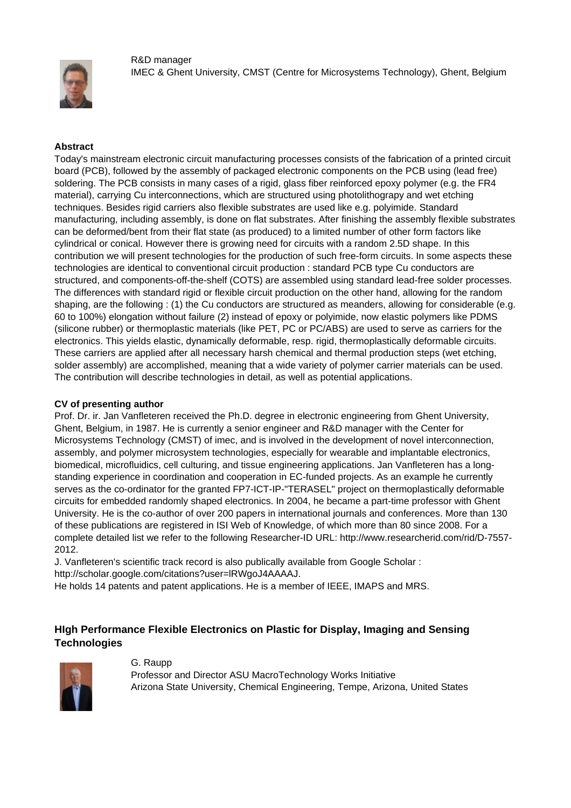R&D manager



IMEC & Ghent University, CMST (Centre for Microsystems Technology), Ghent, Belgium

## **Abstract**

Today's mainstream electronic circuit manufacturing processes consists of the fabrication of a printed circuit board (PCB), followed by the assembly of packaged electronic components on the PCB using (lead free) soldering. The PCB consists in many cases of a rigid, glass fiber reinforced epoxy polymer (e.g. the FR4 material), carrying Cu interconnections, which are structured using photolithograpy and wet etching techniques. Besides rigid carriers also flexible substrates are used like e.g. polyimide. Standard manufacturing, including assembly, is done on flat substrates. After finishing the assembly flexible substrates can be deformed/bent from their flat state (as produced) to a limited number of other form factors like cylindrical or conical. However there is growing need for circuits with a random 2.5D shape. In this contribution we will present technologies for the production of such free-form circuits. In some aspects these technologies are identical to conventional circuit production : standard PCB type Cu conductors are structured, and components-off-the-shelf (COTS) are assembled using standard lead-free solder processes. The differences with standard rigid or flexible circuit production on the other hand, allowing for the random shaping, are the following : (1) the Cu conductors are structured as meanders, allowing for considerable (e.g. 60 to 100%) elongation without failure (2) instead of epoxy or polyimide, now elastic polymers like PDMS (silicone rubber) or thermoplastic materials (like PET, PC or PC/ABS) are used to serve as carriers for the electronics. This yields elastic, dynamically deformable, resp. rigid, thermoplastically deformable circuits. These carriers are applied after all necessary harsh chemical and thermal production steps (wet etching, solder assembly) are accomplished, meaning that a wide variety of polymer carrier materials can be used. The contribution will describe technologies in detail, as well as potential applications.

## **CV of presenting author**

Prof. Dr. ir. Jan Vanfleteren received the Ph.D. degree in electronic engineering from Ghent University, Ghent, Belgium, in 1987. He is currently a senior engineer and R&D manager with the Center for Microsystems Technology (CMST) of imec, and is involved in the development of novel interconnection, assembly, and polymer microsystem technologies, especially for wearable and implantable electronics, biomedical, microfluidics, cell culturing, and tissue engineering applications. Jan Vanfleteren has a longstanding experience in coordination and cooperation in EC-funded projects. As an example he currently serves as the co-ordinator for the granted FP7-ICT-IP-"TERASEL" project on thermoplastically deformable circuits for embedded randomly shaped electronics. In 2004, he became a part-time professor with Ghent University. He is the co-author of over 200 papers in international journals and conferences. More than 130 of these publications are registered in ISI Web of Knowledge, of which more than 80 since 2008. For a complete detailed list we refer to the following Researcher-ID URL: http://www.researcherid.com/rid/D-7557- 2012.

J. Vanfleteren's scientific track record is also publically available from Google Scholar : http://scholar.google.com/citations?user=lRWgoJ4AAAAJ.

He holds 14 patents and patent applications. He is a member of IEEE, IMAPS and MRS.

# **HIgh Performance Flexible Electronics on Plastic for Display, Imaging and Sensing Technologies**



#### G. Raupp

Professor and Director ASU MacroTechnology Works Initiative Arizona State University, Chemical Engineering, Tempe, Arizona, United States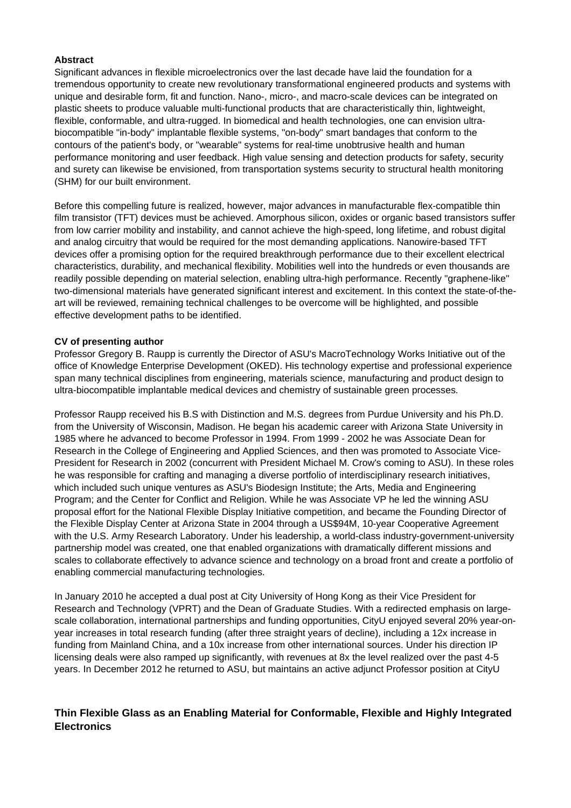### **Abstract**

Significant advances in flexible microelectronics over the last decade have laid the foundation for a tremendous opportunity to create new revolutionary transformational engineered products and systems with unique and desirable form, fit and function. Nano-, micro-, and macro-scale devices can be integrated on plastic sheets to produce valuable multi-functional products that are characteristically thin, lightweight, flexible, conformable, and ultra-rugged. In biomedical and health technologies, one can envision ultrabiocompatible "in-body" implantable flexible systems, "on-body" smart bandages that conform to the contours of the patient's body, or "wearable" systems for real-time unobtrusive health and human performance monitoring and user feedback. High value sensing and detection products for safety, security and surety can likewise be envisioned, from transportation systems security to structural health monitoring (SHM) for our built environment.

Before this compelling future is realized, however, major advances in manufacturable flex-compatible thin film transistor (TFT) devices must be achieved. Amorphous silicon, oxides or organic based transistors suffer from low carrier mobility and instability, and cannot achieve the high-speed, long lifetime, and robust digital and analog circuitry that would be required for the most demanding applications. Nanowire-based TFT devices offer a promising option for the required breakthrough performance due to their excellent electrical characteristics, durability, and mechanical flexibility. Mobilities well into the hundreds or even thousands are readily possible depending on material selection, enabling ultra-high performance. Recently "graphene-like" two-dimensional materials have generated significant interest and excitement. In this context the state-of-theart will be reviewed, remaining technical challenges to be overcome will be highlighted, and possible effective development paths to be identified.

### **CV of presenting author**

Professor Gregory B. Raupp is currently the Director of ASU's MacroTechnology Works Initiative out of the office of Knowledge Enterprise Development (OKED). His technology expertise and professional experience span many technical disciplines from engineering, materials science, manufacturing and product design to ultra-biocompatible implantable medical devices and chemistry of sustainable green processes.

Professor Raupp received his B.S with Distinction and M.S. degrees from Purdue University and his Ph.D. from the University of Wisconsin, Madison. He began his academic career with Arizona State University in 1985 where he advanced to become Professor in 1994. From 1999 - 2002 he was Associate Dean for Research in the College of Engineering and Applied Sciences, and then was promoted to Associate Vice-President for Research in 2002 (concurrent with President Michael M. Crow's coming to ASU). In these roles he was responsible for crafting and managing a diverse portfolio of interdisciplinary research initiatives, which included such unique ventures as ASU's Biodesign Institute; the Arts, Media and Engineering Program; and the Center for Conflict and Religion. While he was Associate VP he led the winning ASU proposal effort for the National Flexible Display Initiative competition, and became the Founding Director of the Flexible Display Center at Arizona State in 2004 through a US\$94M, 10-year Cooperative Agreement with the U.S. Army Research Laboratory. Under his leadership, a world-class industry-government-university partnership model was created, one that enabled organizations with dramatically different missions and scales to collaborate effectively to advance science and technology on a broad front and create a portfolio of enabling commercial manufacturing technologies.

In January 2010 he accepted a dual post at City University of Hong Kong as their Vice President for Research and Technology (VPRT) and the Dean of Graduate Studies. With a redirected emphasis on largescale collaboration, international partnerships and funding opportunities, CityU enjoyed several 20% year-onyear increases in total research funding (after three straight years of decline), including a 12x increase in funding from Mainland China, and a 10x increase from other international sources. Under his direction IP licensing deals were also ramped up significantly, with revenues at 8x the level realized over the past 4-5 years. In December 2012 he returned to ASU, but maintains an active adjunct Professor position at CityU

# **Thin Flexible Glass as an Enabling Material for Conformable, Flexible and Highly Integrated Electronics**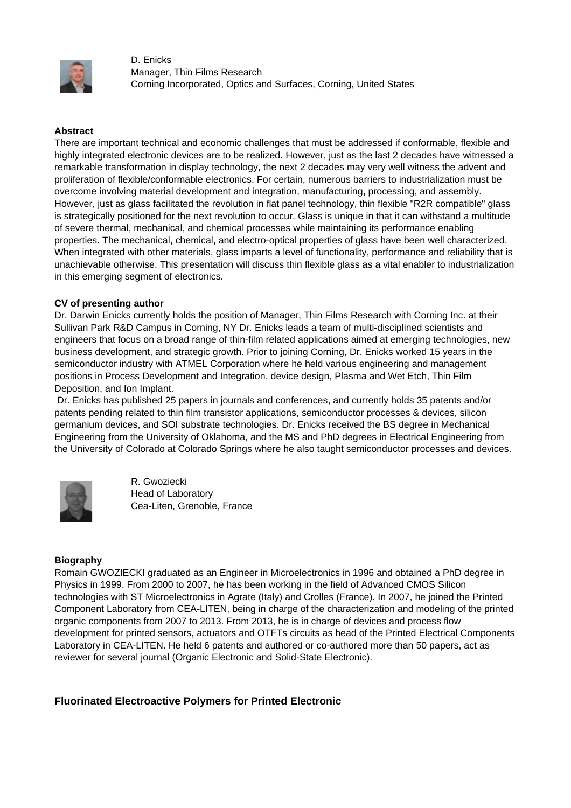

D. Enicks Manager, Thin Films Research Corning Incorporated, Optics and Surfaces, Corning, United States

## **Abstract**

There are important technical and economic challenges that must be addressed if conformable, flexible and highly integrated electronic devices are to be realized. However, just as the last 2 decades have witnessed a remarkable transformation in display technology, the next 2 decades may very well witness the advent and proliferation of flexible/conformable electronics. For certain, numerous barriers to industrialization must be overcome involving material development and integration, manufacturing, processing, and assembly. However, just as glass facilitated the revolution in flat panel technology, thin flexible "R2R compatible" glass is strategically positioned for the next revolution to occur. Glass is unique in that it can withstand a multitude of severe thermal, mechanical, and chemical processes while maintaining its performance enabling properties. The mechanical, chemical, and electro-optical properties of glass have been well characterized. When integrated with other materials, glass imparts a level of functionality, performance and reliability that is unachievable otherwise. This presentation will discuss thin flexible glass as a vital enabler to industrialization in this emerging segment of electronics.

#### **CV of presenting author**

Dr. Darwin Enicks currently holds the position of Manager, Thin Films Research with Corning Inc. at their Sullivan Park R&D Campus in Corning, NY Dr. Enicks leads a team of multi-disciplined scientists and engineers that focus on a broad range of thin-film related applications aimed at emerging technologies, new business development, and strategic growth. Prior to joining Corning, Dr. Enicks worked 15 years in the semiconductor industry with ATMEL Corporation where he held various engineering and management positions in Process Development and Integration, device design, Plasma and Wet Etch, Thin Film Deposition, and Ion Implant.

 Dr. Enicks has published 25 papers in journals and conferences, and currently holds 35 patents and/or patents pending related to thin film transistor applications, semiconductor processes & devices, silicon germanium devices, and SOI substrate technologies. Dr. Enicks received the BS degree in Mechanical Engineering from the University of Oklahoma, and the MS and PhD degrees in Electrical Engineering from the University of Colorado at Colorado Springs where he also taught semiconductor processes and devices.



R. Gwoziecki Head of Laboratory Cea-Liten, Grenoble, France

#### **Biography**

Romain GWOZIECKI graduated as an Engineer in Microelectronics in 1996 and obtained a PhD degree in Physics in 1999. From 2000 to 2007, he has been working in the field of Advanced CMOS Silicon technologies with ST Microelectronics in Agrate (Italy) and Crolles (France). In 2007, he joined the Printed Component Laboratory from CEA-LITEN, being in charge of the characterization and modeling of the printed organic components from 2007 to 2013. From 2013, he is in charge of devices and process flow development for printed sensors, actuators and OTFTs circuits as head of the Printed Electrical Components Laboratory in CEA-LITEN. He held 6 patents and authored or co-authored more than 50 papers, act as reviewer for several journal (Organic Electronic and Solid-State Electronic).

# **Fluorinated Electroactive Polymers for Printed Electronic**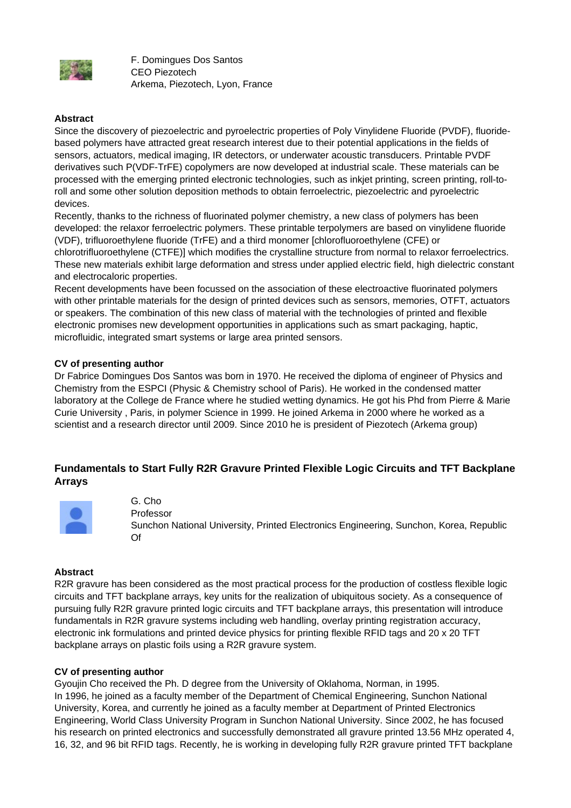

F. Domingues Dos Santos CEO Piezotech Arkema, Piezotech, Lyon, France

## **Abstract**

Since the discovery of piezoelectric and pyroelectric properties of Poly Vinylidene Fluoride (PVDF), fluoridebased polymers have attracted great research interest due to their potential applications in the fields of sensors, actuators, medical imaging, IR detectors, or underwater acoustic transducers. Printable PVDF derivatives such P(VDF-TrFE) copolymers are now developed at industrial scale. These materials can be processed with the emerging printed electronic technologies, such as inkjet printing, screen printing, roll-toroll and some other solution deposition methods to obtain ferroelectric, piezoelectric and pyroelectric devices.

Recently, thanks to the richness of fluorinated polymer chemistry, a new class of polymers has been developed: the relaxor ferroelectric polymers. These printable terpolymers are based on vinylidene fluoride (VDF), trifluoroethylene fluoride (TrFE) and a third monomer [chlorofluoroethylene (CFE) or chlorotrifluoroethylene (CTFE)] which modifies the crystalline structure from normal to relaxor ferroelectrics. These new materials exhibit large deformation and stress under applied electric field, high dielectric constant and electrocaloric properties.

Recent developments have been focussed on the association of these electroactive fluorinated polymers with other printable materials for the design of printed devices such as sensors, memories, OTFT, actuators or speakers. The combination of this new class of material with the technologies of printed and flexible electronic promises new development opportunities in applications such as smart packaging, haptic, microfluidic, integrated smart systems or large area printed sensors.

## **CV of presenting author**

Dr Fabrice Domingues Dos Santos was born in 1970. He received the diploma of engineer of Physics and Chemistry from the ESPCI (Physic & Chemistry school of Paris). He worked in the condensed matter laboratory at the College de France where he studied wetting dynamics. He got his Phd from Pierre & Marie Curie University , Paris, in polymer Science in 1999. He joined Arkema in 2000 where he worked as a scientist and a research director until 2009. Since 2010 he is president of Piezotech (Arkema group)

# **Fundamentals to Start Fully R2R Gravure Printed Flexible Logic Circuits and TFT Backplane Arrays**



G. Cho Professor Sunchon National University, Printed Electronics Engineering, Sunchon, Korea, Republic Of

#### **Abstract**

R2R gravure has been considered as the most practical process for the production of costless flexible logic circuits and TFT backplane arrays, key units for the realization of ubiquitous society. As a consequence of pursuing fully R2R gravure printed logic circuits and TFT backplane arrays, this presentation will introduce fundamentals in R2R gravure systems including web handling, overlay printing registration accuracy, electronic ink formulations and printed device physics for printing flexible RFID tags and 20 x 20 TFT backplane arrays on plastic foils using a R2R gravure system.

### **CV of presenting author**

Gyoujin Cho received the Ph. D degree from the University of Oklahoma, Norman, in 1995. In 1996, he joined as a faculty member of the Department of Chemical Engineering, Sunchon National University, Korea, and currently he joined as a faculty member at Department of Printed Electronics Engineering, World Class University Program in Sunchon National University. Since 2002, he has focused his research on printed electronics and successfully demonstrated all gravure printed 13.56 MHz operated 4, 16, 32, and 96 bit RFID tags. Recently, he is working in developing fully R2R gravure printed TFT backplane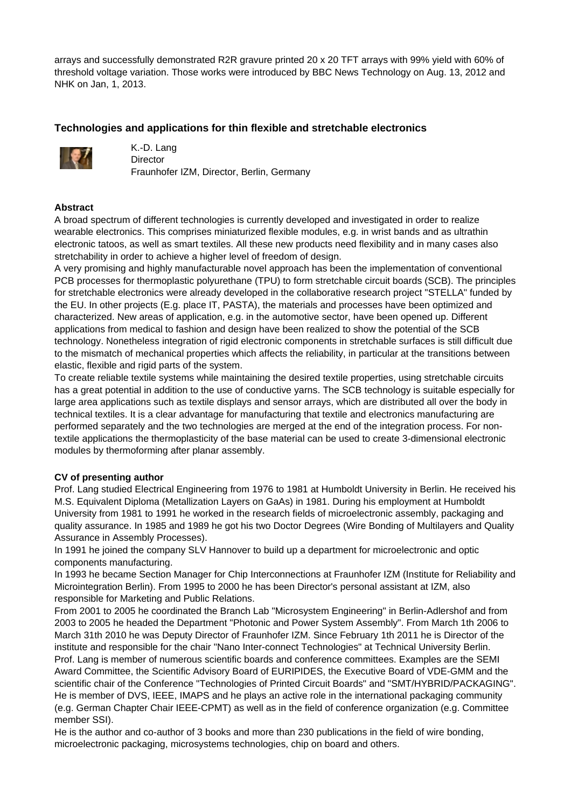arrays and successfully demonstrated R2R gravure printed 20 x 20 TFT arrays with 99% yield with 60% of threshold voltage variation. Those works were introduced by BBC News Technology on Aug. 13, 2012 and NHK on Jan, 1, 2013.

# **Technologies and applications for thin flexible and stretchable electronics**



K.-D. Lang Director Fraunhofer IZM, Director, Berlin, Germany

## **Abstract**

A broad spectrum of different technologies is currently developed and investigated in order to realize wearable electronics. This comprises miniaturized flexible modules, e.g. in wrist bands and as ultrathin electronic tatoos, as well as smart textiles. All these new products need flexibility and in many cases also stretchability in order to achieve a higher level of freedom of design.

A very promising and highly manufacturable novel approach has been the implementation of conventional PCB processes for thermoplastic polyurethane (TPU) to form stretchable circuit boards (SCB). The principles for stretchable electronics were already developed in the collaborative research project "STELLA" funded by the EU. In other projects (E.g. place IT, PASTA), the materials and processes have been optimized and characterized. New areas of application, e.g. in the automotive sector, have been opened up. Different applications from medical to fashion and design have been realized to show the potential of the SCB technology. Nonetheless integration of rigid electronic components in stretchable surfaces is still difficult due to the mismatch of mechanical properties which affects the reliability, in particular at the transitions between elastic, flexible and rigid parts of the system.

To create reliable textile systems while maintaining the desired textile properties, using stretchable circuits has a great potential in addition to the use of conductive yarns. The SCB technology is suitable especially for large area applications such as textile displays and sensor arrays, which are distributed all over the body in technical textiles. It is a clear advantage for manufacturing that textile and electronics manufacturing are performed separately and the two technologies are merged at the end of the integration process. For nontextile applications the thermoplasticity of the base material can be used to create 3-dimensional electronic modules by thermoforming after planar assembly.

## **CV of presenting author**

Prof. Lang studied Electrical Engineering from 1976 to 1981 at Humboldt University in Berlin. He received his M.S. Equivalent Diploma (Metallization Layers on GaAs) in 1981. During his employment at Humboldt University from 1981 to 1991 he worked in the research fields of microelectronic assembly, packaging and quality assurance. In 1985 and 1989 he got his two Doctor Degrees (Wire Bonding of Multilayers and Quality Assurance in Assembly Processes).

In 1991 he joined the company SLV Hannover to build up a department for microelectronic and optic components manufacturing.

In 1993 he became Section Manager for Chip Interconnections at Fraunhofer IZM (Institute for Reliability and Microintegration Berlin). From 1995 to 2000 he has been Director's personal assistant at IZM, also responsible for Marketing and Public Relations.

From 2001 to 2005 he coordinated the Branch Lab "Microsystem Engineering" in Berlin-Adlershof and from 2003 to 2005 he headed the Department "Photonic and Power System Assembly". From March 1th 2006 to March 31th 2010 he was Deputy Director of Fraunhofer IZM. Since February 1th 2011 he is Director of the institute and responsible for the chair "Nano Inter-connect Technologies" at Technical University Berlin. Prof. Lang is member of numerous scientific boards and conference committees. Examples are the SEMI Award Committee, the Scientific Advisory Board of EURIPIDES, the Executive Board of VDE-GMM and the scientific chair of the Conference "Technologies of Printed Circuit Boards" and "SMT/HYBRID/PACKAGING". He is member of DVS, IEEE, IMAPS and he plays an active role in the international packaging community (e.g. German Chapter Chair IEEE-CPMT) as well as in the field of conference organization (e.g. Committee member SSI).

He is the author and co-author of 3 books and more than 230 publications in the field of wire bonding, microelectronic packaging, microsystems technologies, chip on board and others.